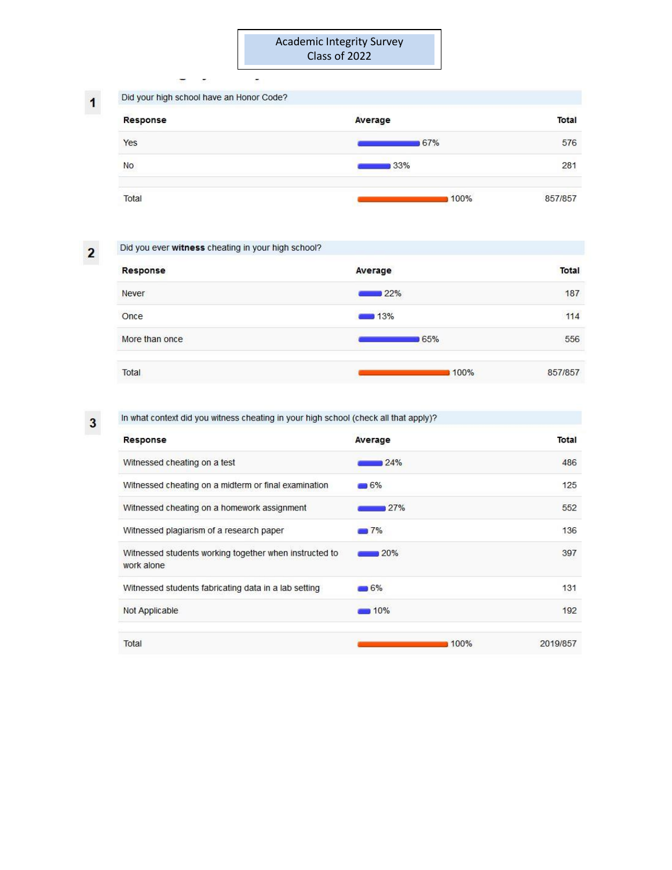| Did your high school have an Honor Code? |         |              |
|------------------------------------------|---------|--------------|
| Response                                 | Average | <b>Total</b> |
| Yes                                      | 67%     | 576          |
| No                                       | 33%     | 281          |
| Total                                    | 100%    | 857/857      |

 $\overline{\mathbf{c}}$ 

| Did you ever witness cheating in your high school? |         |         |
|----------------------------------------------------|---------|---------|
| Response                                           | Average | Total   |
| <b>Never</b>                                       | 22%     | 187     |
| Once                                               | $-13%$  | 114     |
| More than once                                     | 65%     | 556     |
| Total                                              | 100%    | 857/857 |

 $\overline{\mathbf{3}}$ 

# In what context did you witness cheating in your high school (check all that apply)?

÷,

| Response                                                             | Average            | <b>Total</b> |
|----------------------------------------------------------------------|--------------------|--------------|
| Witnessed cheating on a test                                         | 24%                | 486          |
| Witnessed cheating on a midterm or final examination                 | $-6%$              | 125          |
| Witnessed cheating on a homework assignment                          | 27%                | 552          |
| Witnessed plagiarism of a research paper                             | 7%                 | 136          |
| Witnessed students working together when instructed to<br>work alone | 20%                | 397          |
| Witnessed students fabricating data in a lab setting                 | $-6%$              | 131          |
| Not Applicable                                                       | $\blacksquare$ 10% | 192          |
| Total                                                                | 100%               | 2019/857     |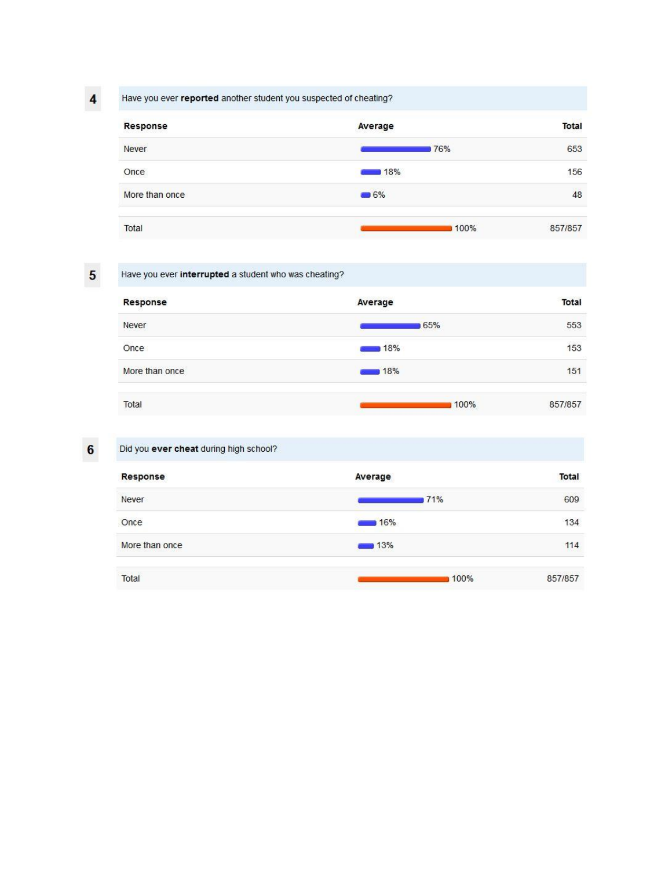$\overline{\mathbf{4}}$ 

## Have you ever reported another student you suspected of cheating?

| Response       | Average | <b>Total</b> |
|----------------|---------|--------------|
| Never          | 76%     | 653          |
| Once           | 18%     | 156          |
| More than once | $-6%$   | 48           |
| Total          | 100%    | 857/857      |

 $\overline{\mathbf{5}}$ 

## Have you ever interrupted a student who was cheating?

| Response       | Average | <b>Total</b> |
|----------------|---------|--------------|
| Never          | 65%     | 553          |
| Once           | 18%     | 153          |
| More than once | 18%     | 151          |
| Total          | 100%    | 857/857      |

# Did you ever cheat during high school?

| Average    | Total   |
|------------|---------|
| 71%        | 609     |
| 16%        | 134     |
| 13%<br>e s | 114     |
| 100%       | 857/857 |
|            |         |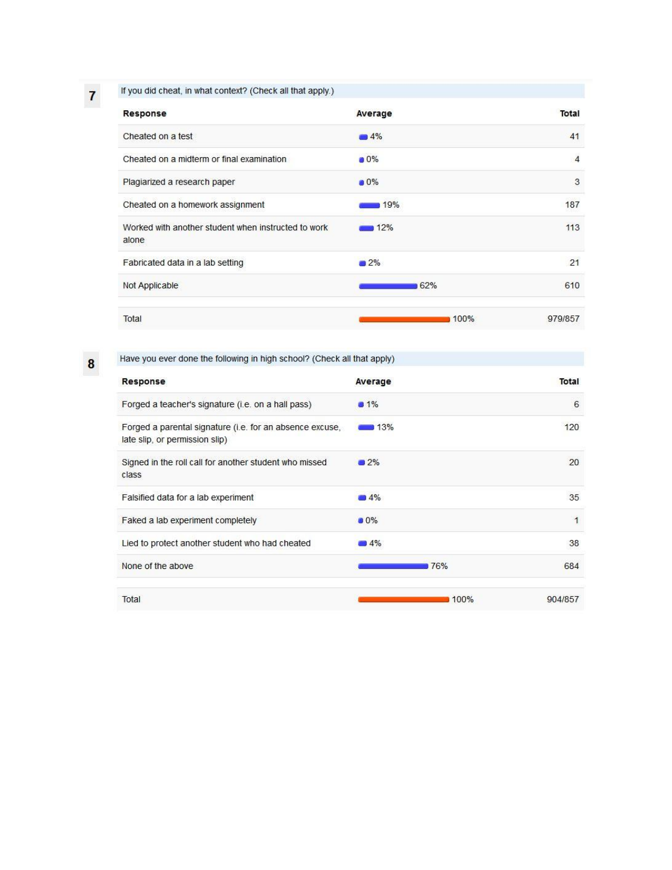If you did cheat, in what context? (Check all that apply.)

| Response                                                     | Average | Total          |
|--------------------------------------------------------------|---------|----------------|
| Cheated on a test                                            | $-4%$   | 41             |
| Cheated on a midterm or final examination                    | $0\%$   | $\overline{4}$ |
| Plagiarized a research paper                                 | 0%      | 3              |
| Cheated on a homework assignment                             | 19%     | 187            |
| Worked with another student when instructed to work<br>alone | 12%     | 113            |
| Fabricated data in a lab setting                             | 2%      | 21             |
| Not Applicable                                               | 62%     | 610            |
| Total                                                        | 100%    | 979/857        |

 $\bf{8}$ 

 $\overline{7}$ 

Have you ever done the following in high school? (Check all that apply)

| Response                                                                                   | Average | Total        |
|--------------------------------------------------------------------------------------------|---------|--------------|
| Forged a teacher's signature (i.e. on a hall pass)                                         | 01%     | 6            |
| Forged a parental signature (i.e. for an absence excuse,<br>late slip, or permission slip) | 13%     | 120          |
| Signed in the roll call for another student who missed<br>class                            | 2%      | 20           |
| Falsified data for a lab experiment                                                        | $-4%$   | 35           |
| Faked a lab experiment completely                                                          | $0\%$   | $\mathbf{1}$ |
| Lied to protect another student who had cheated                                            | $-14%$  | 38           |
| None of the above                                                                          | 76%     | 684          |
| Total                                                                                      | 100%    | 904/857      |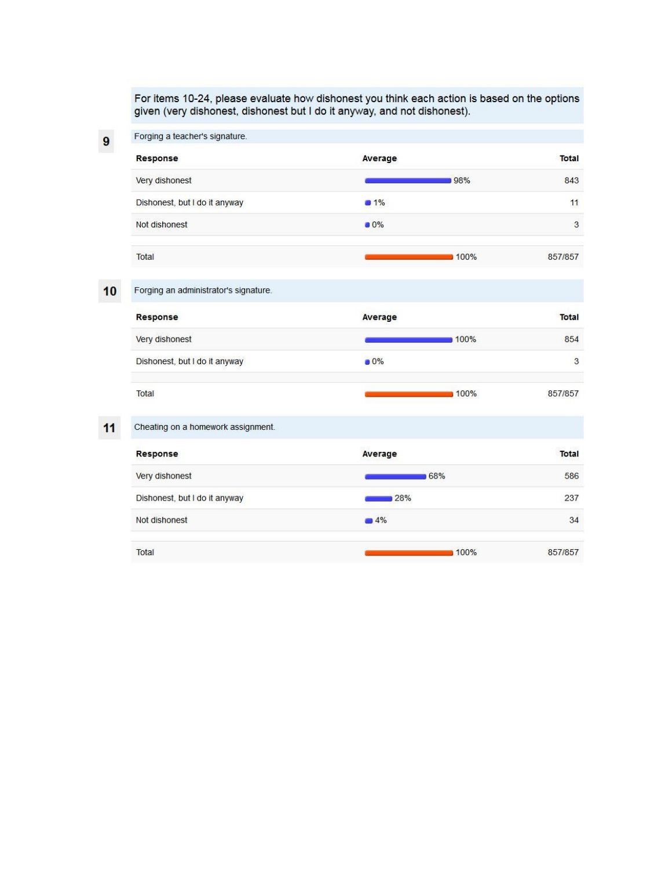For items 10-24, please evaluate how dishonest you think each action is based on the options given (very dishonest, dishonest but I do it anyway, and not dishonest).

| 9  | Forging a teacher's signature.        |         |              |
|----|---------------------------------------|---------|--------------|
|    | Response                              | Average | Total        |
|    | Very dishonest                        | 98%     | 843          |
|    | Dishonest, but I do it anyway         | 31%     | 11           |
|    | Not dishonest                         | $0\%$   | 3            |
|    | Total                                 | 100%    | 857/857      |
| 10 | Forging an administrator's signature. |         |              |
|    | Response                              | Average | <b>Total</b> |
|    | Very dishonest                        | 100%    | 854          |
|    | Dishonest, but I do it anyway         | 0%      | 3            |
|    | Total                                 | 100%    | 857/857      |

#### $11$ Cheating on a homework assignment.

| Response                      | Average | <b>Total</b> |
|-------------------------------|---------|--------------|
| Very dishonest                | 68%     | 586          |
| Dishonest, but I do it anyway | 28%     | 237          |
| Not dishonest                 | $-4%$   | 34           |
| Total                         | 100%    | 857/857      |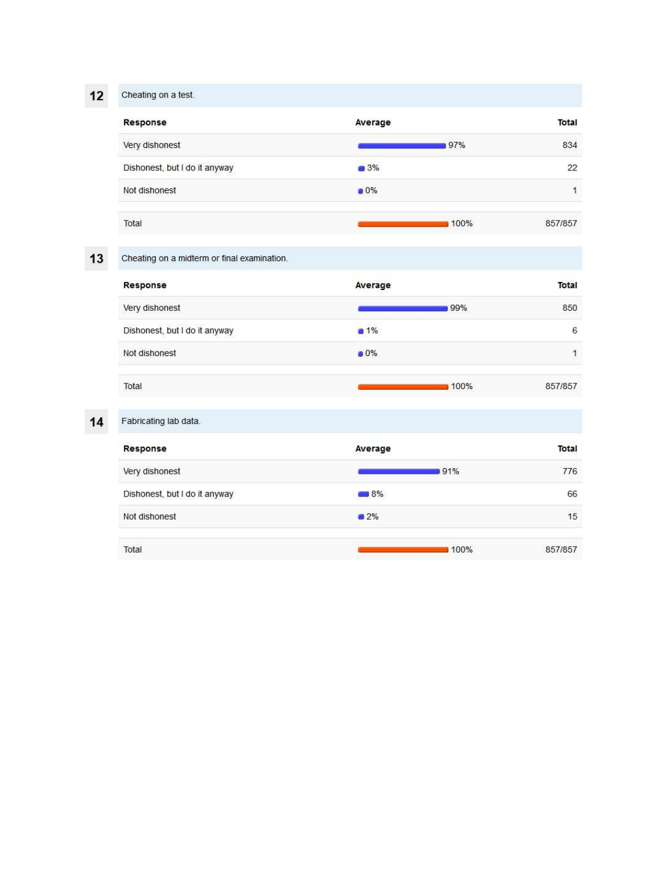$12$ Cheating on a test.

| Response                      | Average | <b>Total</b> |
|-------------------------------|---------|--------------|
| Very dishonest                | 97%     | 834          |
| Dishonest, but I do it anyway | 3%      | 22           |
| Not dishonest                 | $0\%$   |              |
| Total                         | 100%    | 857/857      |

 $13$ 

Cheating on a midterm or final examination.

| Response                      | Average | <b>Total</b> |
|-------------------------------|---------|--------------|
| Very dishonest                | 99%     | 850          |
| Dishonest, but I do it anyway | 1%      | 6            |
| Not dishonest                 | 0%      | 1            |
| Total                         | 100%    | 857/857      |

# $14$

| Fabricating lab data.         |         |         |  |
|-------------------------------|---------|---------|--|
| Response                      | Average | Total   |  |
| Very dishonest                | 91%     | 776     |  |
| Dishonest, but I do it anyway | 8%      | 66      |  |
| Not dishonest                 | $2\%$   | 15      |  |
| Total                         | 100%    | 857/857 |  |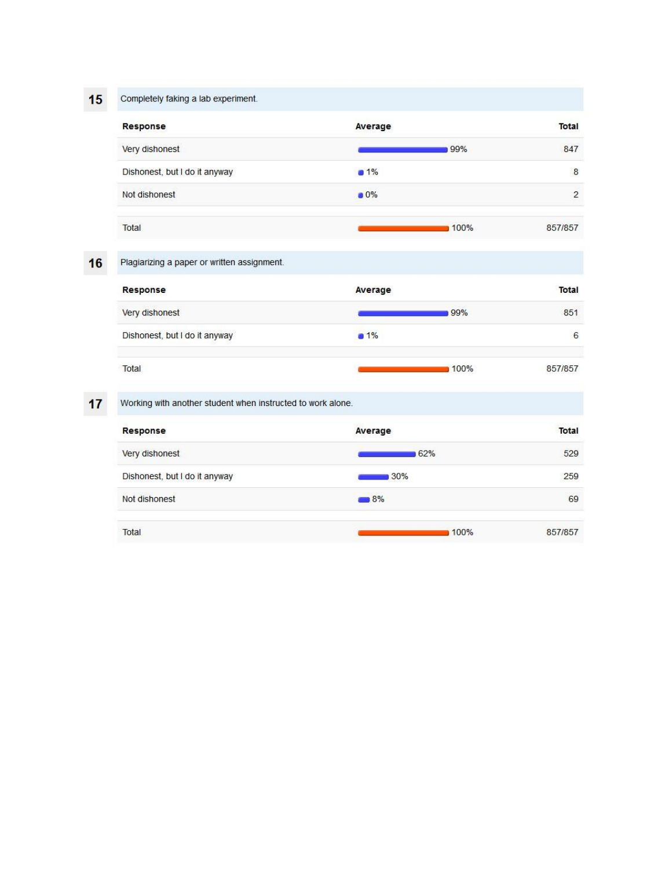$15$ Completely faking a lab experiment.

| Response                      | Average | Total          |
|-------------------------------|---------|----------------|
| Very dishonest                | 99%     | 847            |
| Dishonest, but I do it anyway | 1%      | $\bf{8}$       |
| Not dishonest                 | $0\%$   | $\overline{2}$ |
| Total                         | 100%    | 857/857        |

#### $16$ Plagiarizing a paper or written assignment.

| Response                      | Average     |      | Total   |
|-------------------------------|-------------|------|---------|
| Very dishonest                |             | 99%  | 851     |
| Dishonest, but I do it anyway | <b>a</b> 1% |      | 6       |
| Total                         |             | 100% | 857/857 |

 $17$ 

Working with another student when instructed to work alone.

| Response                      | Average           | Total   |
|-------------------------------|-------------------|---------|
| Very dishonest                | 62%               | 529     |
| Dishonest, but I do it anyway | 30%               | 259     |
| Not dishonest                 | $\blacksquare$ 8% | 69      |
| Total                         | 100%              | 857/857 |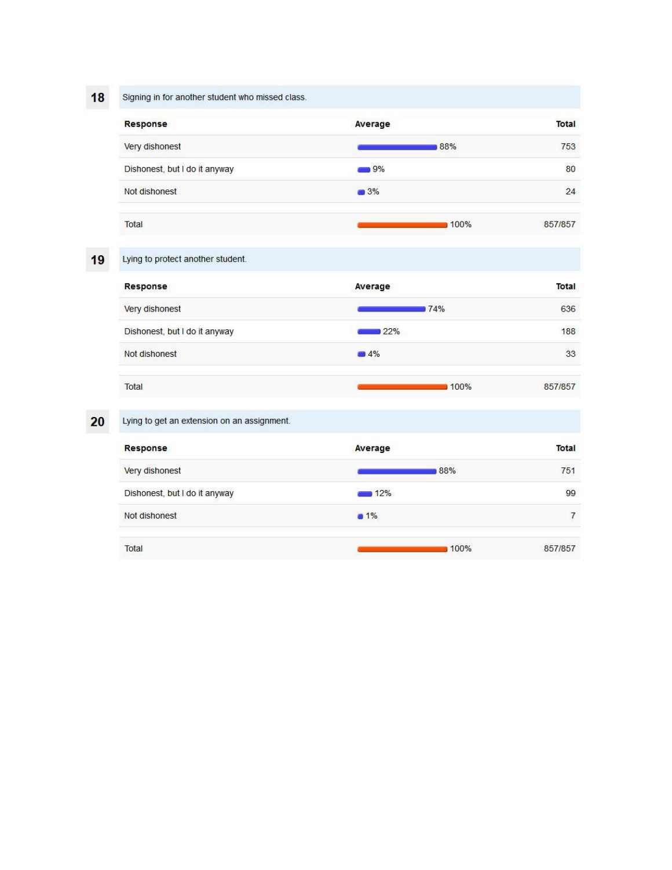18

Signing in for another student who missed class.

| Response                      | Average | <b>Total</b> |
|-------------------------------|---------|--------------|
| Very dishonest                | 88%     | 753          |
| Dishonest, but I do it anyway | 9%      | 80           |
| Not dishonest                 | 3%      | 24           |
| Total                         | 100%    | 857/857      |

19 Lying to protect another student.

| Response                      | Average | Total   |
|-------------------------------|---------|---------|
| Very dishonest                | 74%     | 636     |
| Dishonest, but I do it anyway | 22%     | 188     |
| Not dishonest                 | $-4%$   | 33      |
| Total                         | 100%    | 857/857 |

 $20$ 

| Lying to get an extension on an assignment. |         |         |
|---------------------------------------------|---------|---------|
| Response                                    | Average | Total   |
| Very dishonest                              | 88%     | 751     |
| Dishonest, but I do it anyway               | 12%     | 99      |
| Not dishonest                               | $1\%$   | 7       |
| Total                                       | 100%    | 857/857 |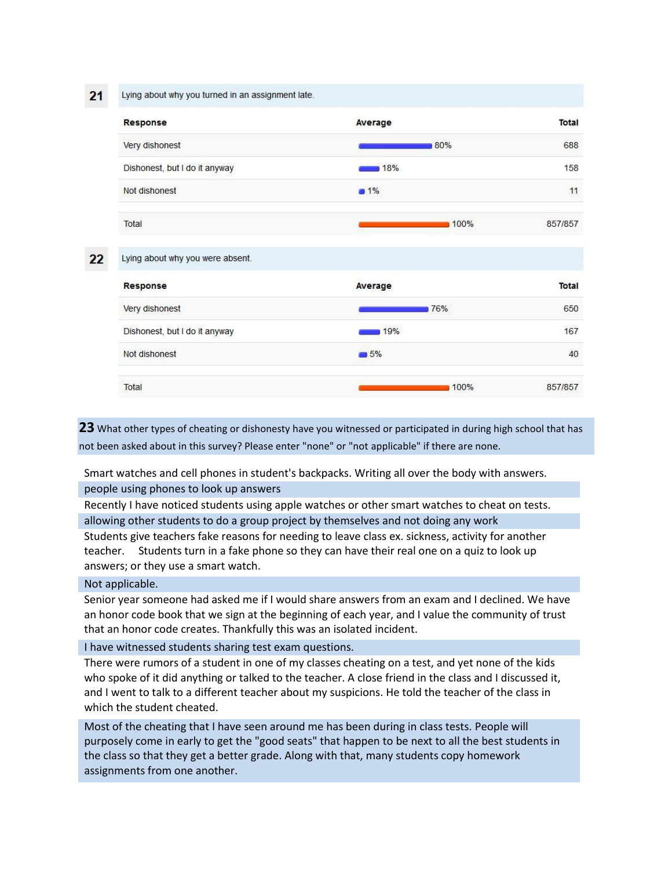$21$ 

 $22 \overline{ }$ 

Lying about why you turned in an assignment late.



 $5%$ 

100%

40

857/857

Total

Not dishonest

**23** What other types of cheating or dishonesty have you witnessed or participated in during high school that has not been asked about in this survey? Please enter "none" or "not applicable" if there are none.

Smart watches and cell phones in student's backpacks. Writing all over the body with answers. people using phones to look up answers

Recently I have noticed students using apple watches or other smart watches to cheat on tests. allowing other students to do a group project by themselves and not doing any work

Students give teachers fake reasons for needing to leave class ex. sickness, activity for another teacher. Students turn in a fake phone so they can have their real one on a quiz to look up answers; or they use a smart watch.

### Not applicable.

Senior year someone had asked me if I would share answers from an exam and I declined. We have an honor code book that we sign at the beginning of each year, and I value the community of trust that an honor code creates. Thankfully this was an isolated incident.

### I have witnessed students sharing test exam questions.

There were rumors of a student in one of my classes cheating on a test, and yet none of the kids who spoke of it did anything or talked to the teacher. A close friend in the class and I discussed it, and I went to talk to a different teacher about my suspicions. He told the teacher of the class in which the student cheated.

Most of the cheating that I have seen around me has been during in class tests. People will purposely come in early to get the "good seats" that happen to be next to all the best students in the class so that they get a better grade. Along with that, many students copy homework assignments from one another.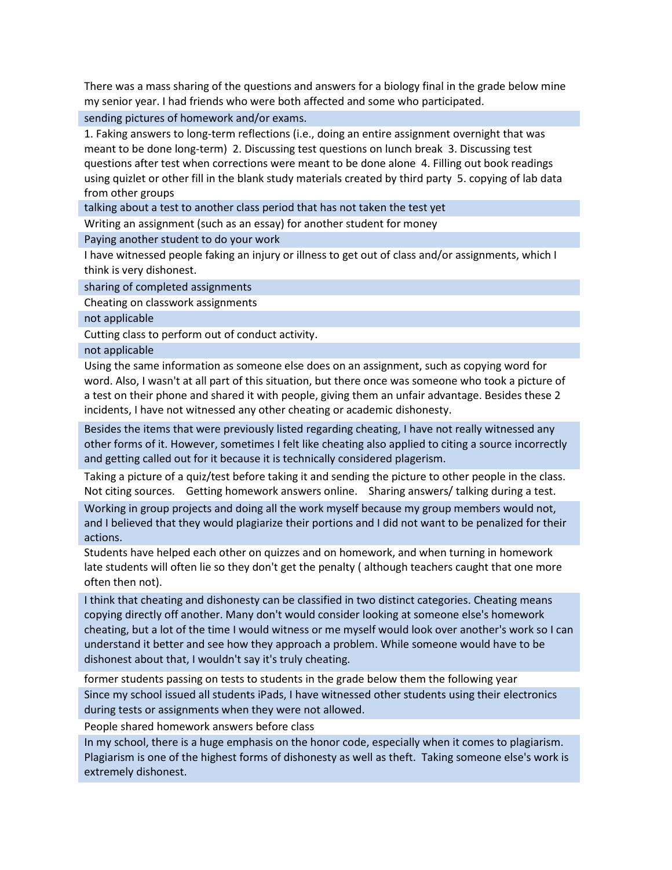There was a mass sharing of the questions and answers for a biology final in the grade below mine my senior year. I had friends who were both affected and some who participated.

sending pictures of homework and/or exams.

1. Faking answers to long-term reflections (i.e., doing an entire assignment overnight that was meant to be done long-term) 2. Discussing test questions on lunch break 3. Discussing test questions after test when corrections were meant to be done alone 4. Filling out book readings using quizlet or other fill in the blank study materials created by third party 5. copying of lab data from other groups

talking about a test to another class period that has not taken the test yet

Writing an assignment (such as an essay) for another student for money

Paying another student to do your work

I have witnessed people faking an injury or illness to get out of class and/or assignments, which I think is very dishonest.

sharing of completed assignments

Cheating on classwork assignments

not applicable

Cutting class to perform out of conduct activity.

not applicable

Using the same information as someone else does on an assignment, such as copying word for word. Also, I wasn't at all part of this situation, but there once was someone who took a picture of a test on their phone and shared it with people, giving them an unfair advantage. Besides these 2 incidents, I have not witnessed any other cheating or academic dishonesty.

Besides the items that were previously listed regarding cheating, I have not really witnessed any other forms of it. However, sometimes I felt like cheating also applied to citing a source incorrectly and getting called out for it because it is technically considered plagerism.

Taking a picture of a quiz/test before taking it and sending the picture to other people in the class. Not citing sources. Getting homework answers online. Sharing answers/ talking during a test.

Working in group projects and doing all the work myself because my group members would not, and I believed that they would plagiarize their portions and I did not want to be penalized for their actions.

Students have helped each other on quizzes and on homework, and when turning in homework late students will often lie so they don't get the penalty ( although teachers caught that one more often then not).

I think that cheating and dishonesty can be classified in two distinct categories. Cheating means copying directly off another. Many don't would consider looking at someone else's homework cheating, but a lot of the time I would witness or me myself would look over another's work so I can understand it better and see how they approach a problem. While someone would have to be dishonest about that, I wouldn't say it's truly cheating.

former students passing on tests to students in the grade below them the following year Since my school issued all students iPads, I have witnessed other students using their electronics during tests or assignments when they were not allowed.

People shared homework answers before class

In my school, there is a huge emphasis on the honor code, especially when it comes to plagiarism. Plagiarism is one of the highest forms of dishonesty as well as theft. Taking someone else's work is extremely dishonest.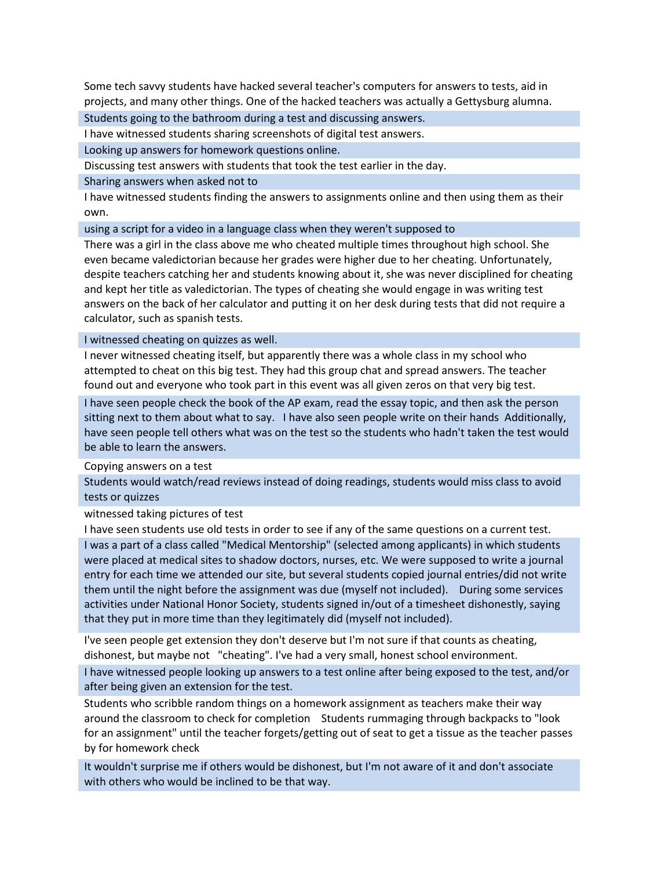Some tech savvy students have hacked several teacher's computers for answers to tests, aid in projects, and many other things. One of the hacked teachers was actually a Gettysburg alumna.

Students going to the bathroom during a test and discussing answers.

I have witnessed students sharing screenshots of digital test answers.

Looking up answers for homework questions online.

Discussing test answers with students that took the test earlier in the day.

Sharing answers when asked not to

I have witnessed students finding the answers to assignments online and then using them as their own.

using a script for a video in a language class when they weren't supposed to

There was a girl in the class above me who cheated multiple times throughout high school. She even became valedictorian because her grades were higher due to her cheating. Unfortunately, despite teachers catching her and students knowing about it, she was never disciplined for cheating and kept her title as valedictorian. The types of cheating she would engage in was writing test answers on the back of her calculator and putting it on her desk during tests that did not require a calculator, such as spanish tests.

I witnessed cheating on quizzes as well.

I never witnessed cheating itself, but apparently there was a whole class in my school who attempted to cheat on this big test. They had this group chat and spread answers. The teacher found out and everyone who took part in this event was all given zeros on that very big test.

I have seen people check the book of the AP exam, read the essay topic, and then ask the person sitting next to them about what to say. I have also seen people write on their hands Additionally, have seen people tell others what was on the test so the students who hadn't taken the test would be able to learn the answers.

Copying answers on a test

Students would watch/read reviews instead of doing readings, students would miss class to avoid tests or quizzes

witnessed taking pictures of test

I have seen students use old tests in order to see if any of the same questions on a current test.

I was a part of a class called "Medical Mentorship" (selected among applicants) in which students were placed at medical sites to shadow doctors, nurses, etc. We were supposed to write a journal entry for each time we attended our site, but several students copied journal entries/did not write them until the night before the assignment was due (myself not included). During some services activities under National Honor Society, students signed in/out of a timesheet dishonestly, saying that they put in more time than they legitimately did (myself not included).

I've seen people get extension they don't deserve but I'm not sure if that counts as cheating, dishonest, but maybe not "cheating". I've had a very small, honest school environment.

I have witnessed people looking up answers to a test online after being exposed to the test, and/or after being given an extension for the test.

Students who scribble random things on a homework assignment as teachers make their way around the classroom to check for completion Students rummaging through backpacks to "look for an assignment" until the teacher forgets/getting out of seat to get a tissue as the teacher passes by for homework check

It wouldn't surprise me if others would be dishonest, but I'm not aware of it and don't associate with others who would be inclined to be that way.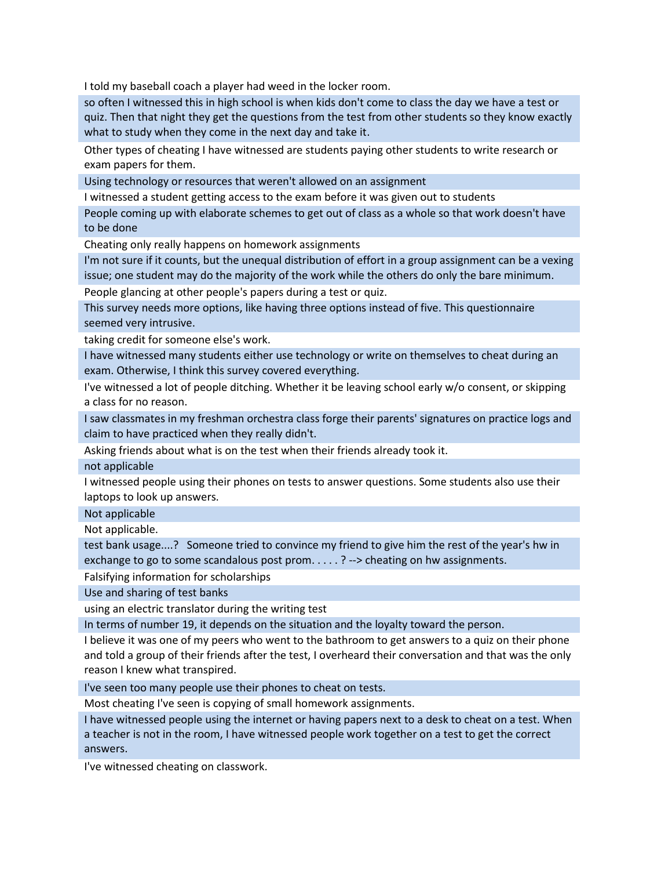I told my baseball coach a player had weed in the locker room.

so often I witnessed this in high school is when kids don't come to class the day we have a test or quiz. Then that night they get the questions from the test from other students so they know exactly what to study when they come in the next day and take it.

Other types of cheating I have witnessed are students paying other students to write research or exam papers for them.

Using technology or resources that weren't allowed on an assignment

I witnessed a student getting access to the exam before it was given out to students

People coming up with elaborate schemes to get out of class as a whole so that work doesn't have to be done

Cheating only really happens on homework assignments

I'm not sure if it counts, but the unequal distribution of effort in a group assignment can be a vexing issue; one student may do the majority of the work while the others do only the bare minimum.

People glancing at other people's papers during a test or quiz.

This survey needs more options, like having three options instead of five. This questionnaire seemed very intrusive.

taking credit for someone else's work.

I have witnessed many students either use technology or write on themselves to cheat during an exam. Otherwise, I think this survey covered everything.

I've witnessed a lot of people ditching. Whether it be leaving school early w/o consent, or skipping a class for no reason.

I saw classmates in my freshman orchestra class forge their parents' signatures on practice logs and claim to have practiced when they really didn't.

Asking friends about what is on the test when their friends already took it.

not applicable

I witnessed people using their phones on tests to answer questions. Some students also use their laptops to look up answers.

Not applicable

Not applicable.

test bank usage....? Someone tried to convince my friend to give him the rest of the year's hw in exchange to go to some scandalous post prom. . . . . ? --> cheating on hw assignments.

Falsifying information for scholarships

Use and sharing of test banks

using an electric translator during the writing test

In terms of number 19, it depends on the situation and the loyalty toward the person.

I believe it was one of my peers who went to the bathroom to get answers to a quiz on their phone and told a group of their friends after the test, I overheard their conversation and that was the only reason I knew what transpired.

I've seen too many people use their phones to cheat on tests.

Most cheating I've seen is copying of small homework assignments.

I have witnessed people using the internet or having papers next to a desk to cheat on a test. When a teacher is not in the room, I have witnessed people work together on a test to get the correct answers.

I've witnessed cheating on classwork.